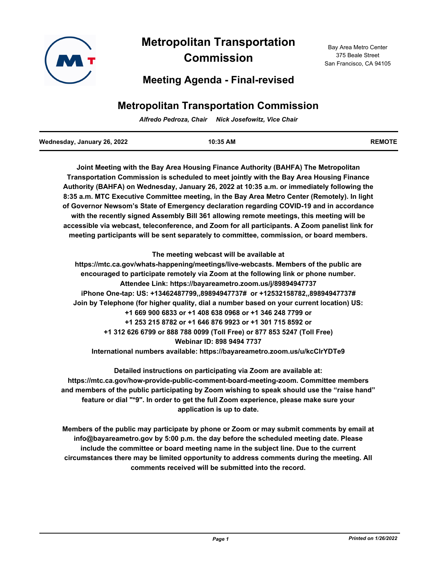

# **Metropolitan Transportation Commission**

Bay Area Metro Center 375 Beale Street San Francisco, CA 94105

# **Meeting Agenda - Final-revised**

# **Metropolitan Transportation Commission**

*Alfredo Pedroza, Chair Nick Josefowitz, Vice Chair*

| Wednesday, January 26, 2022 | 10:35 AM | <b>REMOTE</b> |
|-----------------------------|----------|---------------|
|                             |          |               |

**Joint Meeting with the Bay Area Housing Finance Authority (BAHFA) The Metropolitan Transportation Commission is scheduled to meet jointly with the Bay Area Housing Finance Authority (BAHFA) on Wednesday, January 26, 2022 at 10:35 a.m. or immediately following the 8:35 a.m. MTC Executive Committee meeting, in the Bay Area Metro Center (Remotely). In light of Governor Newsom's State of Emergency declaration regarding COVID-19 and in accordance with the recently signed Assembly Bill 361 allowing remote meetings, this meeting will be accessible via webcast, teleconference, and Zoom for all participants. A Zoom panelist link for meeting participants will be sent separately to committee, commission, or board members.**

**The meeting webcast will be available at** 

**https://mtc.ca.gov/whats-happening/meetings/live-webcasts. Members of the public are encouraged to participate remotely via Zoom at the following link or phone number. Attendee Link: https://bayareametro.zoom.us/j/89894947737 iPhone One-tap: US: +13462487799,,89894947737# or +12532158782,,89894947737# Join by Telephone (for higher quality, dial a number based on your current location) US: +1 669 900 6833 or +1 408 638 0968 or +1 346 248 7799 or +1 253 215 8782 or +1 646 876 9923 or +1 301 715 8592 or +1 312 626 6799 or 888 788 0099 (Toll Free) or 877 853 5247 (Toll Free) Webinar ID: 898 9494 7737 International numbers available: https://bayareametro.zoom.us/u/kcClrYDTe9**

**Detailed instructions on participating via Zoom are available at: https://mtc.ca.gov/how-provide-public-comment-board-meeting-zoom. Committee members and members of the public participating by Zoom wishing to speak should use the "raise hand" feature or dial "\*9". In order to get the full Zoom experience, please make sure your application is up to date.**

**Members of the public may participate by phone or Zoom or may submit comments by email at info@bayareametro.gov by 5:00 p.m. the day before the scheduled meeting date. Please include the committee or board meeting name in the subject line. Due to the current circumstances there may be limited opportunity to address comments during the meeting. All comments received will be submitted into the record.**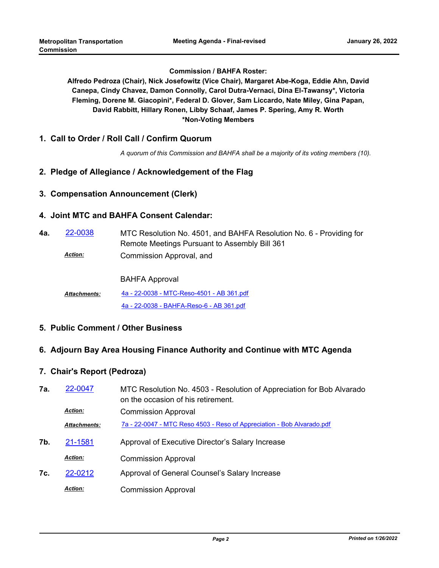#### **Commission / BAHFA Roster:**

**Alfredo Pedroza (Chair), Nick Josefowitz (Vice Chair), Margaret Abe-Koga, Eddie Ahn, David Canepa, Cindy Chavez, Damon Connolly, Carol Dutra-Vernaci, Dina El-Tawansy\*, Victoria Fleming, Dorene M. Giacopini\*, Federal D. Glover, Sam Liccardo, Nate Miley, Gina Papan, David Rabbitt, Hillary Ronen, Libby Schaaf, James P. Spering, Amy R. Worth \*Non-Voting Members**

**1. Call to Order / Roll Call / Confirm Quorum**

*A quorum of this Commission and BAHFA shall be a majority of its voting members (10).*

### **2. Pledge of Allegiance / Acknowledgement of the Flag**

#### **3. Compensation Announcement (Clerk)**

#### **4. Joint MTC and BAHFA Consent Calendar:**

MTC Resolution No. 4501, and BAHFA Resolution No. 6 - Providing for Remote Meetings Pursuant to Assembly Bill 361 **4a.** [22-0038](http://mtc.legistar.com/gateway.aspx?m=l&id=/matter.aspx?key=23297) Commission Approval, and *Action:*

BAHFA Approval

[4a - 22-0038 - MTC-Reso-4501 - AB 361.pdf](http://mtc.legistar.com/gateway.aspx?M=F&ID=829402c2-b5ae-408b-a052-ec565820ba1a.pdf) [4a - 22-0038 - BAHFA-Reso-6 - AB 361.pdf](http://mtc.legistar.com/gateway.aspx?M=F&ID=5f8679d7-e4de-43d1-8a53-59a869997905.pdf) *Attachments:*

**5. Public Comment / Other Business**

#### **6. Adjourn Bay Area Housing Finance Authority and Continue with MTC Agenda**

#### **7. Chair's Report (Pedroza)**

| 7a. | 22-0047             | MTC Resolution No. 4503 - Resolution of Appreciation for Bob Alvarado<br>on the occasion of his retirement. |
|-----|---------------------|-------------------------------------------------------------------------------------------------------------|
|     | <b>Action:</b>      | <b>Commission Approval</b>                                                                                  |
|     | <b>Attachments:</b> | 7a - 22-0047 - MTC Reso 4503 - Reso of Appreciation - Bob Alvarado.pdf                                      |
| 7b. | 21-1581             | Approval of Executive Director's Salary Increase                                                            |
|     | <b>Action:</b>      | <b>Commission Approval</b>                                                                                  |
| 7c. | 22-0212             | Approval of General Counsel's Salary Increase                                                               |
|     | <b>Action:</b>      | <b>Commission Approval</b>                                                                                  |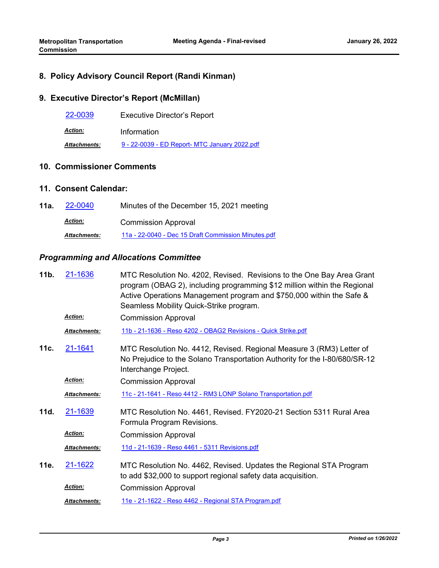# **8. Policy Advisory Council Report (Randi Kinman)**

## **9. Executive Director's Report (McMillan)**

| 22-0039             | <b>Executive Director's Report</b>            |
|---------------------|-----------------------------------------------|
| <b>Action:</b>      | Information                                   |
| <b>Attachments:</b> | 9 - 22-0039 - ED Report- MTC January 2022.pdf |

## **10. Commissioner Comments**

#### **11. Consent Calendar:**

| 11a. | 22-0040             | Minutes of the December 15, 2021 meeting            |
|------|---------------------|-----------------------------------------------------|
|      | <b>Action:</b>      | <b>Commission Approval</b>                          |
|      | <b>Attachments:</b> | 11a - 22-0040 - Dec 15 Draft Commission Minutes.pdf |

# *Programming and Allocations Committee*

| 11b. | 21-1636             | MTC Resolution No. 4202, Revised. Revisions to the One Bay Area Grant<br>program (OBAG 2), including programming \$12 million within the Regional<br>Active Operations Management program and \$750,000 within the Safe &<br>Seamless Mobility Quick-Strike program. |
|------|---------------------|----------------------------------------------------------------------------------------------------------------------------------------------------------------------------------------------------------------------------------------------------------------------|
|      | <b>Action:</b>      | <b>Commission Approval</b>                                                                                                                                                                                                                                           |
|      | <b>Attachments:</b> | 11b - 21-1636 - Reso 4202 - OBAG2 Revisions - Quick Strike.pdf                                                                                                                                                                                                       |
| 11c. | 21-1641             | MTC Resolution No. 4412, Revised. Regional Measure 3 (RM3) Letter of<br>No Prejudice to the Solano Transportation Authority for the I-80/680/SR-12<br>Interchange Project.                                                                                           |
|      | <b>Action:</b>      | <b>Commission Approval</b>                                                                                                                                                                                                                                           |
|      | <b>Attachments:</b> | 11c - 21-1641 - Reso 4412 - RM3 LONP Solano Transportation.pdf                                                                                                                                                                                                       |
| 11d. | 21-1639             | MTC Resolution No. 4461, Revised. FY2020-21 Section 5311 Rural Area<br>Formula Program Revisions.                                                                                                                                                                    |
|      | <b>Action:</b>      | <b>Commission Approval</b>                                                                                                                                                                                                                                           |
|      | <b>Attachments:</b> | 11d - 21-1639 - Reso 4461 - 5311 Revisions.pdf                                                                                                                                                                                                                       |
| 11e. | 21-1622             | MTC Resolution No. 4462, Revised. Updates the Regional STA Program<br>to add \$32,000 to support regional safety data acquisition.                                                                                                                                   |
|      | <b>Action:</b>      | <b>Commission Approval</b>                                                                                                                                                                                                                                           |
|      | <b>Attachments:</b> | 11e - 21-1622 - Reso 4462 - Regional STA Program.pdf                                                                                                                                                                                                                 |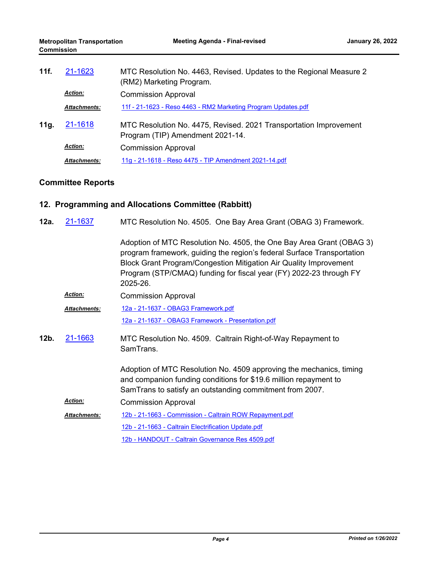| 11f. | 21-1623             | MTC Resolution No. 4463, Revised. Updates to the Regional Measure 2<br>(RM2) Marketing Program.       |
|------|---------------------|-------------------------------------------------------------------------------------------------------|
|      | <b>Action:</b>      | <b>Commission Approval</b>                                                                            |
|      | <b>Attachments:</b> | 11f - 21-1623 - Reso 4463 - RM2 Marketing Program Updates.pdf                                         |
| 11g. | 21-1618             | MTC Resolution No. 4475, Revised. 2021 Transportation Improvement<br>Program (TIP) Amendment 2021-14. |
|      | <b>Action:</b>      | <b>Commission Approval</b>                                                                            |
|      | <b>Attachments:</b> | 11g - 21-1618 - Reso 4475 - TIP Amendment 2021-14.pdf                                                 |

# **Committee Reports**

# **12. Programming and Allocations Committee (Rabbitt)**

| 12a. | 21-1637             | MTC Resolution No. 4505. One Bay Area Grant (OBAG 3) Framework.                                                                                                                                                                                                                                       |
|------|---------------------|-------------------------------------------------------------------------------------------------------------------------------------------------------------------------------------------------------------------------------------------------------------------------------------------------------|
|      |                     | Adoption of MTC Resolution No. 4505, the One Bay Area Grant (OBAG 3)<br>program framework, guiding the region's federal Surface Transportation<br>Block Grant Program/Congestion Mitigation Air Quality Improvement<br>Program (STP/CMAQ) funding for fiscal year (FY) 2022-23 through FY<br>2025-26. |
|      | <b>Action:</b>      | <b>Commission Approval</b>                                                                                                                                                                                                                                                                            |
|      | <b>Attachments:</b> | 12a - 21-1637 - OBAG3 Framework.pdf                                                                                                                                                                                                                                                                   |
|      |                     | 12a - 21-1637 - OBAG3 Framework - Presentation.pdf                                                                                                                                                                                                                                                    |
| 12b. | 21-1663             | MTC Resolution No. 4509. Caltrain Right-of-Way Repayment to<br>SamTrans.                                                                                                                                                                                                                              |
|      |                     | Adoption of MTC Resolution No. 4509 approving the mechanics, timing<br>and companion funding conditions for \$19.6 million repayment to<br>SamTrans to satisfy an outstanding commitment from 2007.                                                                                                   |
|      | <b>Action:</b>      | <b>Commission Approval</b>                                                                                                                                                                                                                                                                            |
|      | <b>Attachments:</b> | 12b - 21-1663 - Commission - Caltrain ROW Repayment.pdf                                                                                                                                                                                                                                               |
|      |                     | 12b - 21-1663 - Caltrain Electrification Update.pdf                                                                                                                                                                                                                                                   |
|      |                     | 12b - HANDOUT - Caltrain Governance Res 4509.pdf                                                                                                                                                                                                                                                      |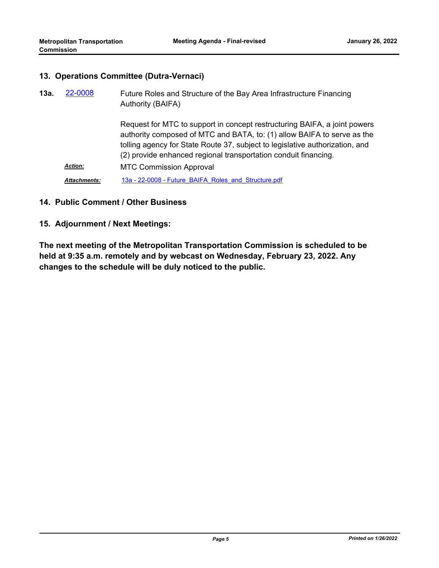### **13. Operations Committee (Dutra-Vernaci)**

| 13a. | 22-0008             | Future Roles and Structure of the Bay Area Infrastructure Financing<br><b>Authority (BAIFA)</b>                                                                                                                                                                                                         |
|------|---------------------|---------------------------------------------------------------------------------------------------------------------------------------------------------------------------------------------------------------------------------------------------------------------------------------------------------|
|      |                     | Request for MTC to support in concept restructuring BAIFA, a joint powers<br>authority composed of MTC and BATA, to: (1) allow BAIFA to serve as the<br>tolling agency for State Route 37, subject to legislative authorization, and<br>(2) provide enhanced regional transportation conduit financing. |
|      | <b>Action:</b>      | <b>MTC Commission Approval</b>                                                                                                                                                                                                                                                                          |
|      | <b>Attachments:</b> | 13a - 22-0008 - Future BAIFA Roles and Structure.pdf                                                                                                                                                                                                                                                    |

### **14. Public Comment / Other Business**

#### **15. Adjournment / Next Meetings:**

**The next meeting of the Metropolitan Transportation Commission is scheduled to be held at 9:35 a.m. remotely and by webcast on Wednesday, February 23, 2022. Any changes to the schedule will be duly noticed to the public.**